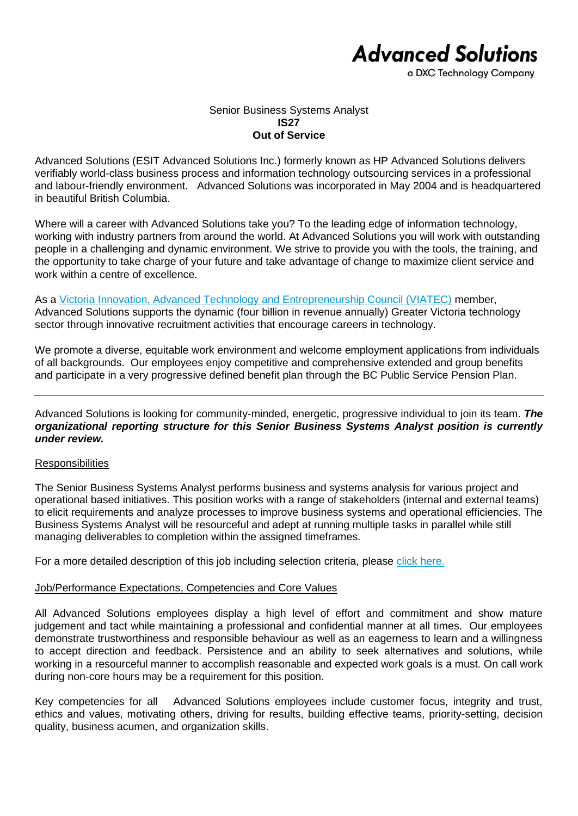# **Advanced Solutions**

a DXC Technology Company

#### Senior Business Systems Analyst **IS27 Out of Service**

Advanced Solutions (ESIT Advanced Solutions Inc.) formerly known as HP Advanced Solutions delivers verifiably world-class business process and information technology outsourcing services in a professional and labour-friendly environment. Advanced Solutions was incorporated in May 2004 and is headquartered in beautiful British Columbia.

Where will a career with Advanced Solutions take you? To the leading edge of information technology, working with industry partners from around the world. At Advanced Solutions you will work with outstanding people in a challenging and dynamic environment. We strive to provide you with the tools, the training, and the opportunity to take charge of your future and take advantage of change to maximize client service and work within a centre of excellence.

As a [Victoria Innovation, Advanced Technology and Entrepreneurship Council \(VIATEC\)](http://www.viatec.ca/) member, Advanced Solutions supports the dynamic (four billion in revenue annually) Greater Victoria technology sector through innovative recruitment activities that encourage careers in technology.

We promote a diverse, equitable work environment and welcome employment applications from individuals of all backgrounds. Our employees enjoy competitive and comprehensive extended and group benefits and participate in a very progressive defined benefit plan through the BC Public Service Pension Plan.

Advanced Solutions is looking for community-minded, energetic, progressive individual to join its team. *The organizational reporting structure for this Senior Business Systems Analyst position is currently under review.*

### **Responsibilities**

The Senior Business Systems Analyst performs business and systems analysis for various project and operational based initiatives. This position works with a range of stakeholders (internal and external teams) to elicit requirements and analyze processes to improve business systems and operational efficiencies. The Business Systems Analyst will be resourceful and adept at running multiple tasks in parallel while still managing deliverables to completion within the assigned timeframes.

For a more detailed description of this job including selection criteria, please [click here.](https://www.dxcas.com/images/DXCAS/Careers/pdf/IS27_Sr_Business_Systems_Analyst_JD.pdf)

### Job/Performance Expectations, Competencies and Core Values

All Advanced Solutions employees display a high level of effort and commitment and show mature judgement and tact while maintaining a professional and confidential manner at all times. Our employees demonstrate trustworthiness and responsible behaviour as well as an eagerness to learn and a willingness to accept direction and feedback. Persistence and an ability to seek alternatives and solutions, while working in a resourceful manner to accomplish reasonable and expected work goals is a must. On call work during non-core hours may be a requirement for this position.

Key competencies for all Advanced Solutions employees include customer focus, integrity and trust, ethics and values, motivating others, driving for results, building effective teams, priority-setting, decision quality, business acumen, and organization skills.